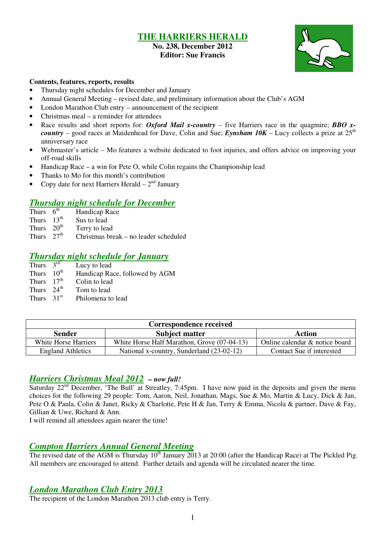## **THE HARRIERS HERALD No. 238, December 2012**

## **Editor: Sue Francis**



#### **Contents, features, reports, results**

- Thursday night schedules for December and January
- Annual General Meeting revised date, and preliminary information about the Club's AGM
- London Marathon Club entry announcement of the recipient
- Christmas meal a reminder for attendees
- Race results and short reports for: *Oxford Mail x-country* five Harriers race in the quagmire; **BBO** x*country* – good races at Maidenhead for Dave, Colin and Sue; *Eynsham 10K* – Lucy collects a prize at  $25<sup>th</sup>$ anniversary race
- Webmaster's article Mo features a website dedicated to foot injuries, and offers advice on improving your off-road skills
- Handicap Race a win for Pete O, while Colin regains the Championship lead
- Thanks to Mo for this month's contribution
- Copy date for next Harriers Herald  $-2<sup>nd</sup>$  January

# *Thursday night schedule for December*

- Handicap Race
- Thurs  $13<sup>th</sup>$  Sus to lead
- Thurs  $20^{th}$  Terry to lead<br>Thurs  $27^{th}$  Christmas bre
- $Christmas break no leader scheduled$

# *Thursday night schedule for January*<br>Thurs  $3^{rd}$  Lucy to lead

Thurs  $3^{\text{rd}}$  Lucy to lead<br>Thurs  $10^{\text{th}}$  Handicap Ra Handicap Race, followed by AGM Thurs  $17<sup>th</sup>$  Colin to lead Thurs  $24^{th}$  Tom to lead<br>Thurs  $31^{st}$  Philomena to Philomena to lead

| Correspondence received  |                                             |                                |  |  |  |  |  |
|--------------------------|---------------------------------------------|--------------------------------|--|--|--|--|--|
| <b>Sender</b>            | Action                                      |                                |  |  |  |  |  |
| White Horse Harriers     | White Horse Half Marathon, Grove (07-04-13) | Online calendar & notice board |  |  |  |  |  |
| <b>England Athletics</b> | National x-country, Sunderland (23-02-12)   | Contact Sue if interested      |  |  |  |  |  |

## *Harriers Christmas Meal 2012 – now full!*

Saturday  $22<sup>nd</sup>$  December, 'The Bull' at Streatley, 7:45pm. I have now paid in the deposits and given the menu choices for the following 29 people: Tom, Aaron, Neil, Jonathan, Mags, Sue & Mo, Martin & Lucy, Dick & Jan, Pete O & Paula, Colin & Janet, Ricky & Charlotte, Pete H & Jan, Terry & Emma, Nicola & partner, Dave & Fay, Gillian & Uwe, Richard & Ann.

I will remind all attendees again nearer the time!

## *Compton Harriers Annual General Meeting*

The revised date of the AGM is Thursday  $10^{th}$  January 2013 at 20:00 (after the Handicap Race) at The Pickled Pig. All members are encouraged to attend. Further details and agenda will be circulated nearer the time.

## *London Marathon Club Entry 2013*

The recipient of the London Marathon 2013 club entry is Terry.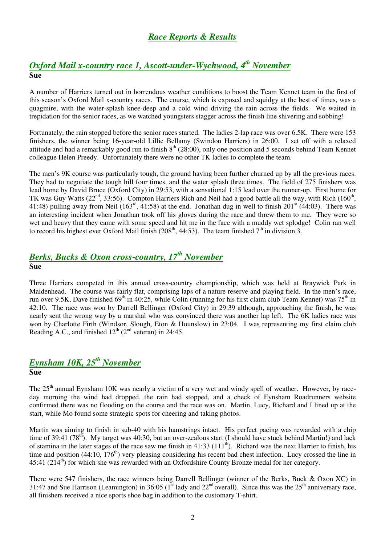## *Race Reports & Results*

## *Oxford Mail x-country race 1, Ascott-under-Wychwood, 4th November* **Sue**

A number of Harriers turned out in horrendous weather conditions to boost the Team Kennet team in the first of this season's Oxford Mail x-country races. The course, which is exposed and squidgy at the best of times, was a quagmire, with the water-splash knee-deep and a cold wind driving the rain across the fields. We waited in trepidation for the senior races, as we watched youngsters stagger across the finish line shivering and sobbing!

Fortunately, the rain stopped before the senior races started. The ladies 2-lap race was over 6.5K. There were 153 finishers, the winner being 16-year-old Lillie Bellamy (Swindon Harriers) in 26:00. I set off with a relaxed attitude and had a remarkably good run to finish  $8<sup>th</sup>$  (28:00), only one position and 5 seconds behind Team Kennet colleague Helen Preedy. Unfortunately there were no other TK ladies to complete the team.

The men's 9K course was particularly tough, the ground having been further churned up by all the previous races. They had to negotiate the tough hill four times, and the water splash three times. The field of 275 finishers was lead home by David Bruce (Oxford City) in 29:53, with a sensational 1:15 lead over the runner-up. First home for TK was Guy Watts ( $22^{nd}$ , 33:56). Compton Harriers Rich and Neil had a good battle all the way, with Rich (160<sup>th</sup>, 41:48) pulling away from Neil (163<sup>rd</sup>, 41:58) at the end. Jonathan dug in well to finish 201<sup>st</sup> (44:03). There was an interesting incident when Jonathan took off his gloves during the race and threw them to me. They were so wet and heavy that they came with some speed and hit me in the face with a muddy wet splodge! Colin ran well to record his highest ever Oxford Mail finish (208<sup>th</sup>, 44:53). The team finished  $7<sup>th</sup>$  in division 3.

## *Berks, Bucks & Oxon cross-country, 17th November* **Sue**

Three Harriers competed in this annual cross-country championship, which was held at Braywick Park in Maidenhead. The course was fairly flat, comprising laps of a nature reserve and playing field. In the men's race, run over 9.5K, Dave finished 69<sup>th</sup> in 40:25, while Colin (running for his first claim club Team Kennet) was 75<sup>th</sup> in 42:10. The race was won by Darrell Bellinger (Oxford City) in 29:39 although, approaching the finish, he was nearly sent the wrong way by a marshal who was convinced there was another lap left. The 6K ladies race was won by Charlotte Firth (Windsor, Slough, Eton & Hounslow) in 23:04. I was representing my first claim club Reading A.C., and finished  $12<sup>th</sup>$  ( $2<sup>nd</sup>$  veteran) in 24:45.

### *Eynsham 10K, 25th November* **Sue**

The 25<sup>th</sup> annual Eynsham 10K was nearly a victim of a very wet and windy spell of weather. However, by raceday morning the wind had dropped, the rain had stopped, and a check of Eynsham Roadrunners website confirmed there was no flooding on the course and the race was on. Martin, Lucy, Richard and I lined up at the start, while Mo found some strategic spots for cheering and taking photos.

Martin was aiming to finish in sub-40 with his hamstrings intact. His perfect pacing was rewarded with a chip time of 39:41 (78<sup>th</sup>). My target was 40:30, but an over-zealous start (I should have stuck behind Martin!) and lack of stamina in the later stages of the race saw me finish in  $41:33$  ( $111<sup>th</sup>$ ). Richard was the next Harrier to finish, his time and position  $(44:10, 176<sup>th</sup>)$  very pleasing considering his recent bad chest infection. Lucy crossed the line in  $45:41$  (214<sup>th</sup>) for which she was rewarded with an Oxfordshire County Bronze medal for her category.

There were 547 finishers, the race winners being Darrell Bellinger (winner of the Berks, Buck & Oxon XC) in 31:47 and Sue Harrison (Leamington) in 36:05 ( $1^{\text{st}}$  lady and 22<sup>nd</sup> overall). Since this was the 25<sup>th</sup> anniversary race, all finishers received a nice sports shoe bag in addition to the customary T-shirt.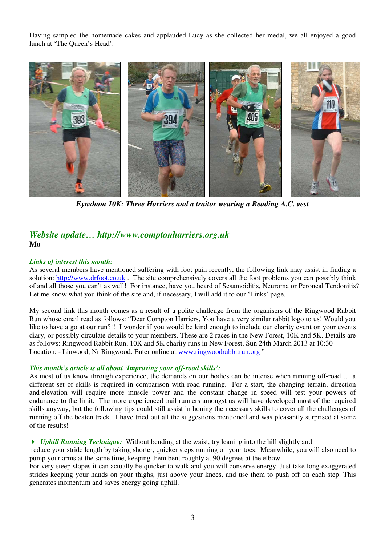Having sampled the homemade cakes and applauded Lucy as she collected her medal, we all enjoyed a good lunch at 'The Queen's Head'.



*Eynsham 10K: Three Harriers and a traitor wearing a Reading A.C. vest* 

## *Website update… http://www.comptonharriers.org.uk* **Mo**

#### *Links of interest this month:*

As several members have mentioned suffering with foot pain recently, the following link may assist in finding a solution: http://www.drfoot.co.uk. The site comprehensively covers all the foot problems you can possibly think of and all those you can't as well! For instance, have you heard of Sesamoiditis, Neuroma or Peroneal Tendonitis? Let me know what you think of the site and, if necessary, I will add it to our 'Links' page.

My second link this month comes as a result of a polite challenge from the organisers of the Ringwood Rabbit Run whose email read as follows: "Dear Compton Harriers, You have a very similar rabbit logo to us! Would you like to have a go at our run?!! I wonder if you would be kind enough to include our charity event on your events diary, or possibly circulate details to your members. These are 2 races in the New Forest, 10K and 5K. Details are as follows: Ringwood Rabbit Run, 10K and 5K charity runs in New Forest, Sun 24th March 2013 at 10:30 Location: - Linwood, Nr Ringwood. Enter online at www.ringwoodrabbitrun.org "

#### *This month's article is all about 'Improving your off-road skills':*

As most of us know through experience, the demands on our bodies can be intense when running off-road ... a different set of skills is required in comparison with road running. For a start, the changing terrain, direction and elevation will require more muscle power and the constant change in speed will test your powers of endurance to the limit. The more experienced trail runners amongst us will have developed most of the required skills anyway, but the following tips could still assist in honing the necessary skills to cover all the challenges of running off the beaten track. I have tried out all the suggestions mentioned and was pleasantly surprised at some of the results!

#### *Uphill Running Technique:* Without bending at the waist, try leaning into the hill slightly and

 reduce your stride length by taking shorter, quicker steps running on your toes. Meanwhile, you will also need to pump your arms at the same time, keeping them bent roughly at 90 degrees at the elbow.

For very steep slopes it can actually be quicker to walk and you will conserve energy. Just take long exaggerated strides keeping your hands on your thighs, just above your knees, and use them to push off on each step. This generates momentum and saves energy going uphill.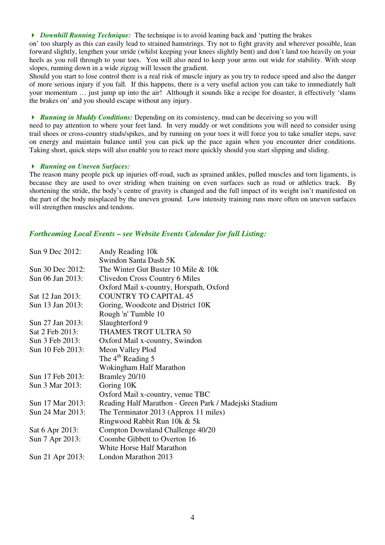*Downhill Running Technique:* The technique is to avoid leaning back and 'putting the brakes

on' too sharply as this can easily lead to strained hamstrings. Try not to fight gravity and wherever possible, lean forward slightly, lengthen your stride (whilst keeping your knees slightly bent) and don't land too heavily on your heels as you roll through to your toes. You will also need to keep your arms out wide for stability. With steep slopes, running down in a wide zigzag will lessen the gradient.

Should you start to lose control there is a real risk of muscle injury as you try to reduce speed and also the danger of more serious injury if you fall. If this happens, there is a very useful action you can take to immediately halt your momentum … just jump up into the air! Although it sounds like a recipe for disaster, it effectively 'slams the brakes on' and you should escape without any injury.

*Running in Muddy Conditions:* Depending on its consistency, mud can be deceiving so you will

need to pay attention to where your feet land. In very muddy or wet conditions you will need to consider using trail shoes or cross-country studs/spikes, and by running on your toes it will force you to take smaller steps, save on energy and maintain balance until you can pick up the pace again when you encounter drier conditions. Taking short, quick steps will also enable you to react more quickly should you start slipping and sliding.

#### *Running on Uneven Surfaces:*

The reason many people pick up injuries off-road, such as sprained ankles, pulled muscles and torn ligaments, is because they are used to over striding when training on even surfaces such as road or athletics track. By shortening the stride, the body's centre of gravity is changed and the full impact of its weight isn't manifested on the part of the body misplaced by the uneven ground. Low intensity training runs more often on uneven surfaces will strengthen muscles and tendons.

### *Forthcoming Local Events – see Website Events Calendar for full Listing:*

| Sun 9 Dec 2012:  | Andy Reading 10k                                      |
|------------------|-------------------------------------------------------|
|                  | Swindon Santa Dash 5K                                 |
| Sun 30 Dec 2012: | The Winter Gut Buster 10 Mile & 10k                   |
| Sun 06 Jan 2013: | Clivedon Cross Country 6 Miles                        |
|                  | Oxford Mail x-country, Horspath, Oxford               |
| Sat 12 Jan 2013: | <b>COUNTRY TO CAPITAL 45</b>                          |
| Sun 13 Jan 2013: | Goring, Woodcote and District 10K                     |
|                  | Rough 'n' Tumble 10                                   |
| Sun 27 Jan 2013: | Slaughterford 9                                       |
| Sat 2 Feb 2013:  | THAMES TROT ULTRA 50                                  |
| Sun 3 Feb 2013:  | Oxford Mail x-country, Swindon                        |
| Sun 10 Feb 2013: | Meon Valley Plod                                      |
|                  | The $4th$ Reading 5                                   |
|                  | Wokingham Half Marathon                               |
| Sun 17 Feb 2013: | Bramley 20/10                                         |
| Sun 3 Mar 2013:  | Goring 10K                                            |
|                  | Oxford Mail x-country, venue TBC                      |
| Sun 17 Mar 2013: | Reading Half Marathon - Green Park / Madejski Stadium |
| Sun 24 Mar 2013: | The Terminator 2013 (Approx 11 miles)                 |
|                  | Ringwood Rabbit Run 10k & 5k                          |
| Sat 6 Apr 2013:  | Compton Downland Challenge 40/20                      |
| Sun 7 Apr 2013:  | Coombe Gibbett to Overton 16                          |
|                  | White Horse Half Marathon                             |
| Sun 21 Apr 2013: | London Marathon 2013                                  |